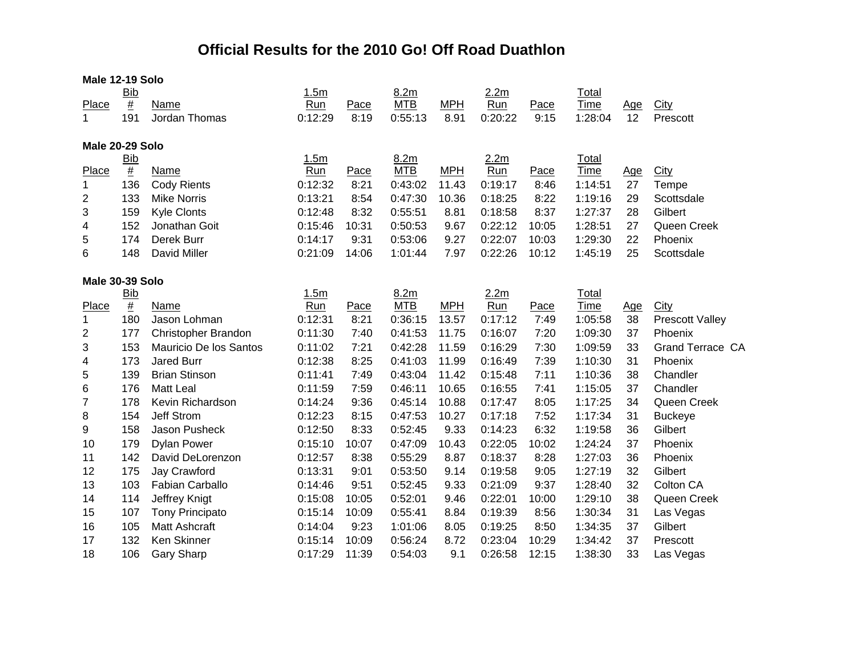## **Official Results for the 2010 Go! Off Road Duathlon**

| Male 12-19 Solo |                                      |                        |         |       |            |            |         |       |              |            |                         |  |  |
|-----------------|--------------------------------------|------------------------|---------|-------|------------|------------|---------|-------|--------------|------------|-------------------------|--|--|
|                 | <b>Bib</b>                           |                        | 1.5m    |       | 8.2m       |            | 2.2m    |       | <b>Total</b> |            |                         |  |  |
| Place           | $\underline{\#}$                     | Name                   | Run     | Pace  | <b>MTB</b> | <b>MPH</b> | Run     | Pace  | Time         | <u>Age</u> | City                    |  |  |
| 1               | 191                                  | Jordan Thomas          | 0:12:29 | 8:19  | 0:55:13    | 8.91       | 0:20:22 | 9:15  | 1:28:04      | 12         | Prescott                |  |  |
|                 | Male 20-29 Solo                      |                        |         |       |            |            |         |       |              |            |                         |  |  |
|                 | <b>Bib</b>                           |                        | 1.5m    |       | 8.2m       |            | 2.2m    |       | Total        |            |                         |  |  |
| Place           | $\overline{\underline{\textbf{\#}}}$ | Name                   | Run     | Pace  | <b>MTB</b> | <b>MPH</b> | Run     | Pace  | <b>Time</b>  | Age        | <b>City</b>             |  |  |
| $\mathbf 1$     | 136                                  | <b>Cody Rients</b>     | 0:12:32 | 8:21  | 0:43:02    | 11.43      | 0:19:17 | 8:46  | 1:14:51      | 27         | Tempe                   |  |  |
| 2               | 133                                  | <b>Mike Norris</b>     | 0:13:21 | 8:54  | 0:47:30    | 10.36      | 0:18:25 | 8:22  | 1:19:16      | 29         | Scottsdale              |  |  |
| 3               | 159                                  | <b>Kyle Clonts</b>     | 0:12:48 | 8:32  | 0:55:51    | 8.81       | 0:18:58 | 8:37  | 1:27:37      | 28         | Gilbert                 |  |  |
| 4               | 152                                  | Jonathan Goit          | 0:15:46 | 10:31 | 0:50:53    | 9.67       | 0:22:12 | 10:05 | 1:28:51      | 27         | Queen Creek             |  |  |
| 5               | 174                                  | Derek Burr             | 0:14:17 | 9:31  | 0:53:06    | 9.27       | 0:22:07 | 10:03 | 1:29:30      | 22         | Phoenix                 |  |  |
| 6               | 148                                  | David Miller           | 0:21:09 | 14:06 | 1:01:44    | 7.97       | 0:22:26 | 10:12 | 1:45:19      | 25         | Scottsdale              |  |  |
| Male 30-39 Solo |                                      |                        |         |       |            |            |         |       |              |            |                         |  |  |
|                 | <b>Bib</b>                           |                        | 1.5m    |       | 8.2m       |            | 2.2m    |       | Total        |            |                         |  |  |
| Place           | $\underline{\#}$                     | Name                   | Run     | Pace  | <b>MTB</b> | <b>MPH</b> | Run     | Pace  | <b>Time</b>  | <u>Age</u> | <b>City</b>             |  |  |
| 1               | 180                                  | Jason Lohman           | 0:12:31 | 8:21  | 0:36:15    | 13.57      | 0:17:12 | 7:49  | 1:05:58      | 38         | <b>Prescott Valley</b>  |  |  |
| 2               | 177                                  | Christopher Brandon    | 0:11:30 | 7:40  | 0:41:53    | 11.75      | 0:16:07 | 7:20  | 1:09:30      | 37         | Phoenix                 |  |  |
| 3               | 153                                  | Mauricio De los Santos | 0:11:02 | 7:21  | 0:42:28    | 11.59      | 0:16:29 | 7:30  | 1:09:59      | 33         | <b>Grand Terrace CA</b> |  |  |
| 4               | 173                                  | <b>Jared Burr</b>      | 0:12:38 | 8:25  | 0:41:03    | 11.99      | 0:16:49 | 7:39  | 1:10:30      | 31         | Phoenix                 |  |  |
| 5               | 139                                  | <b>Brian Stinson</b>   | 0:11:41 | 7:49  | 0:43:04    | 11.42      | 0:15:48 | 7:11  | 1:10:36      | 38         | Chandler                |  |  |
| 6               | 176                                  | <b>Matt Leal</b>       | 0:11:59 | 7:59  | 0:46:11    | 10.65      | 0:16:55 | 7:41  | 1:15:05      | 37         | Chandler                |  |  |
| $\overline{7}$  | 178                                  | Kevin Richardson       | 0:14:24 | 9:36  | 0:45:14    | 10.88      | 0:17:47 | 8:05  | 1:17:25      | 34         | Queen Creek             |  |  |
| 8               | 154                                  | <b>Jeff Strom</b>      | 0:12:23 | 8:15  | 0:47:53    | 10.27      | 0:17:18 | 7:52  | 1:17:34      | 31         | <b>Buckeye</b>          |  |  |
| 9               | 158                                  | Jason Pusheck          | 0:12:50 | 8:33  | 0:52:45    | 9.33       | 0:14:23 | 6:32  | 1:19:58      | 36         | Gilbert                 |  |  |
| 10              | 179                                  | <b>Dylan Power</b>     | 0:15:10 | 10:07 | 0:47:09    | 10.43      | 0:22:05 | 10:02 | 1:24:24      | 37         | Phoenix                 |  |  |
| 11              | 142                                  | David DeLorenzon       | 0:12:57 | 8:38  | 0:55:29    | 8.87       | 0:18:37 | 8:28  | 1:27:03      | 36         | Phoenix                 |  |  |
| 12              | 175                                  | Jay Crawford           | 0:13:31 | 9:01  | 0:53:50    | 9.14       | 0:19:58 | 9:05  | 1:27:19      | 32         | Gilbert                 |  |  |
| 13              | 103                                  | <b>Fabian Carballo</b> | 0:14:46 | 9:51  | 0:52:45    | 9.33       | 0:21:09 | 9:37  | 1:28:40      | 32         | Colton CA               |  |  |
| 14              | 114                                  | Jeffrey Knigt          | 0:15:08 | 10:05 | 0:52:01    | 9.46       | 0:22:01 | 10:00 | 1:29:10      | 38         | Queen Creek             |  |  |
| 15              | 107                                  | <b>Tony Principato</b> | 0:15:14 | 10:09 | 0:55:41    | 8.84       | 0:19:39 | 8:56  | 1:30:34      | 31         | Las Vegas               |  |  |
| 16              | 105                                  | <b>Matt Ashcraft</b>   | 0:14:04 | 9:23  | 1:01:06    | 8.05       | 0:19:25 | 8:50  | 1:34:35      | 37         | Gilbert                 |  |  |
| 17              | 132                                  | Ken Skinner            | 0:15:14 | 10:09 | 0:56:24    | 8.72       | 0:23:04 | 10:29 | 1:34:42      | 37         | Prescott                |  |  |
| 18              | 106                                  | <b>Gary Sharp</b>      | 0:17:29 | 11:39 | 0:54:03    | 9.1        | 0:26:58 | 12:15 | 1:38:30      | 33         | Las Vegas               |  |  |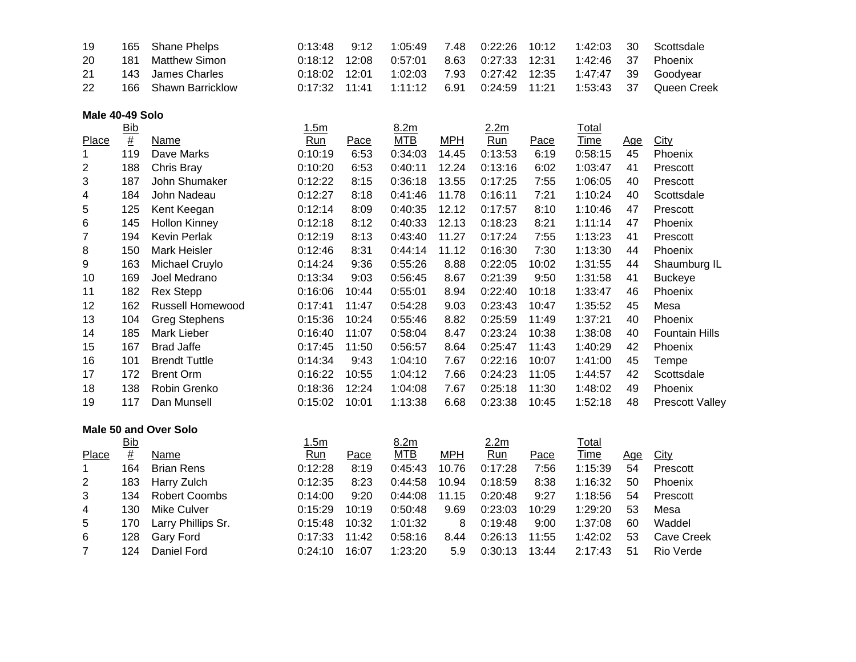| 19  | 165 Shane Phelps     | 0:13:48         |                                                     |  |  | 7.48  0:22:26  10:12  1:42:03  30  Scottsdale                           |
|-----|----------------------|-----------------|-----------------------------------------------------|--|--|-------------------------------------------------------------------------|
| -20 | 181 Matthew Simon    | 0:18:12 12:08   | 0:57:01  8.63  0:27:33  12:31  1:42:46  37  Phoenix |  |  |                                                                         |
| 21  | 143 James Charles    | $0:18:02$ 12:01 |                                                     |  |  | 1:02:03  7.93  0:27:42  12:35  1:47:47  39  Goodyear                    |
| -22 | 166 Shawn Barricklow |                 |                                                     |  |  | 0:17:32  11:41  1:11:12  6.91  0:24:59  11:21  1:53:43  37  Queen Creek |

## **Male 40-49 Solo**

|       | <u>Bib</u> |                         | 1.5m    |       | 8.2m    |            | 2.2m    |       | <u>Total</u> |            |                        |
|-------|------------|-------------------------|---------|-------|---------|------------|---------|-------|--------------|------------|------------------------|
| Place | #          | Name                    | Run     | Pace  | MTB     | <b>MPH</b> | Run     | Pace  | Time         | <u>Age</u> | City                   |
|       | 119        | Dave Marks              | 0:10:19 | 6:53  | 0:34:03 | 14.45      | 0:13:53 | 6:19  | 0:58:15      | 45         | Phoenix                |
| 2     | 188        | Chris Bray              | 0:10:20 | 6:53  | 0:40:11 | 12.24      | 0:13:16 | 6:02  | 1:03:47      | 41         | Prescott               |
| 3     | 187        | John Shumaker           | 0:12:22 | 8:15  | 0:36:18 | 13.55      | 0:17:25 | 7:55  | 1:06:05      | 40         | Prescott               |
| 4     | 184        | John Nadeau             | 0:12:27 | 8:18  | 0:41:46 | 11.78      | 0:16:11 | 7:21  | 1:10:24      | 40         | Scottsdale             |
| 5     | 125        | Kent Keegan             | 0:12:14 | 8:09  | 0:40:35 | 12.12      | 0:17:57 | 8:10  | 1:10:46      | 47         | Prescott               |
| 6     | 145        | <b>Hollon Kinney</b>    | 0:12:18 | 8:12  | 0:40:33 | 12.13      | 0:18:23 | 8:21  | 1:11:14      | 47         | Phoenix                |
| 7     | 194        | Kevin Perlak            | 0:12:19 | 8:13  | 0:43:40 | 11.27      | 0:17:24 | 7:55  | 1:13:23      | 41         | Prescott               |
| 8     | 150        | Mark Heisler            | 0:12:46 | 8:31  | 0:44:14 | 11.12      | 0:16:30 | 7:30  | 1:13:30      | 44         | Phoenix                |
| 9     | 163        | Michael Cruylo          | 0:14:24 | 9:36  | 0:55:26 | 8.88       | 0:22:05 | 10:02 | 1:31:55      | 44         | Shaumburg IL           |
| 10    | 169        | Joel Medrano            | 0:13:34 | 9:03  | 0:56:45 | 8.67       | 0:21:39 | 9:50  | 1:31:58      | 41         | <b>Buckeye</b>         |
| 11    | 182        | <b>Rex Stepp</b>        | 0:16:06 | 10:44 | 0:55:01 | 8.94       | 0:22:40 | 10:18 | 1:33:47      | 46         | Phoenix                |
| 12    | 162        | <b>Russell Homewood</b> | 0:17:41 | 11:47 | 0:54:28 | 9.03       | 0:23:43 | 10:47 | 1:35:52      | 45         | Mesa                   |
| 13    | 104        | <b>Greg Stephens</b>    | 0:15:36 | 10:24 | 0:55:46 | 8.82       | 0:25:59 | 11:49 | 1:37:21      | 40         | Phoenix                |
| 14    | 185        | Mark Lieber             | 0:16:40 | 11:07 | 0:58:04 | 8.47       | 0:23:24 | 10:38 | 1:38:08      | 40         | <b>Fountain Hills</b>  |
| 15    | 167        | <b>Brad Jaffe</b>       | 0:17:45 | 11:50 | 0:56:57 | 8.64       | 0:25:47 | 11:43 | 1:40:29      | 42         | Phoenix                |
| 16    | 101        | <b>Brendt Tuttle</b>    | 0:14:34 | 9:43  | 1:04:10 | 7.67       | 0:22:16 | 10:07 | 1:41:00      | 45         | Tempe                  |
| 17    | 172        | <b>Brent Orm</b>        | 0:16:22 | 10:55 | 1:04:12 | 7.66       | 0:24:23 | 11:05 | 1:44:57      | 42         | Scottsdale             |
| 18    | 138        | Robin Grenko            | 0:18:36 | 12:24 | 1:04:08 | 7.67       | 0:25:18 | 11:30 | 1:48:02      | 49         | Phoenix                |
| 19    | 117        | Dan Munsell             | 0:15:02 | 10:01 | 1:13:38 | 6.68       | 0:23:38 | 10:45 | 1:52:18      | 48         | <b>Prescott Valley</b> |
|       |            |                         |         |       |         |            |         |       |              |            |                        |

## **Male 50 and Over Solo**

|       | <u>Bib</u> |                    | 1.5m    |       | 8.2 <sub>m</sub> |       | 2.2 <sub>m</sub> |       | Total       |     |            |
|-------|------------|--------------------|---------|-------|------------------|-------|------------------|-------|-------------|-----|------------|
| Place | #          | Name               | Run     | Pace  | <b>MTB</b>       | MPH   | Run              | Pace  | <b>Time</b> | Age | City       |
|       | 164        | <b>Brian Rens</b>  | 0:12:28 | 8:19  | 0:45:43          | 10.76 | 0:17:28          | 7:56  | 1:15:39     | 54  | Prescott   |
| 2     | 183        | Harry Zulch        | 0:12:35 | 8:23  | 0:44:58          | 10.94 | 0:18:59          | 8:38  | 1:16:32     | 50  | Phoenix    |
| 3     | 134        | Robert Coombs      | 0:14:00 | 9:20  | 0.44:08          | 11.15 | 0:20:48          | 9:27  | 1:18:56     | 54  | Prescott   |
| 4     | 130        | Mike Culver        | 0:15:29 | 10:19 | 0:50:48          | 9.69  | 0:23:03          | 10:29 | 1:29:20     | 53  | Mesa       |
| 5     | 170.       | Larry Phillips Sr. | 0:15:48 | 10:32 | 1:01:32          | 8     | 0:19:48          | 9:00  | 1:37:08     | 60  | Waddel     |
| 6     | 128        | Gary Ford          | 0:17:33 | 11:42 | 0:58:16          | 8.44  | 0:26:13          | 11:55 | 1:42:02     | 53  | Cave Creek |
|       | 124        | Daniel Ford        | 0:24:10 | 16:07 | 1:23:20          | 5.9   | 0:30:13          | 13:44 | 2:17:43     | 51  | Rio Verde  |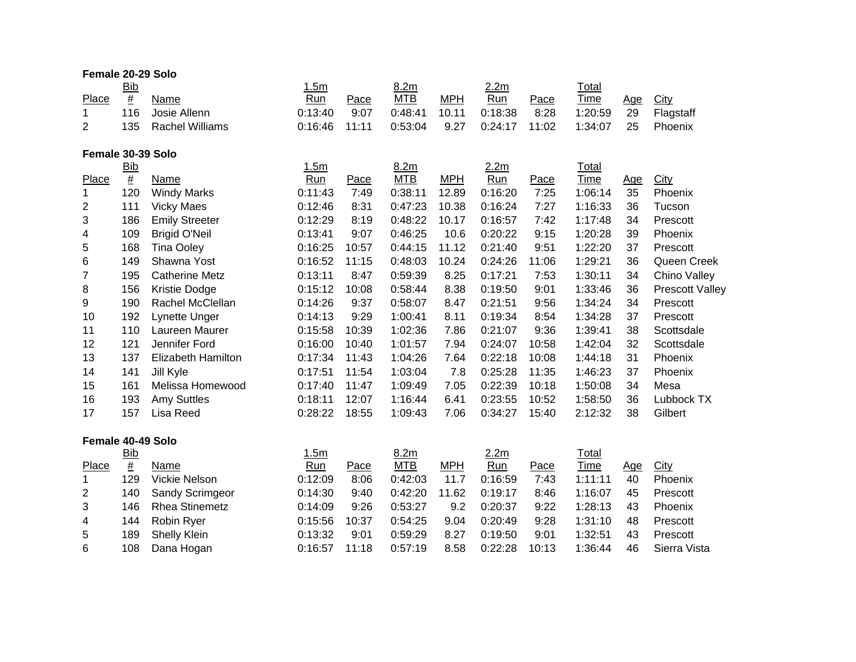| Female 20-29 Solo       |                  |                        |         |       |            |            |                  |       |             |     |                 |
|-------------------------|------------------|------------------------|---------|-------|------------|------------|------------------|-------|-------------|-----|-----------------|
|                         | <b>Bib</b>       |                        | 1.5m    |       | 8.2m       |            | 2.2m             |       | Total       |     |                 |
| Place                   | $\underline{\#}$ | Name                   | Run     | Pace  | <b>MTB</b> | <b>MPH</b> | Run              | Pace  | Time        | Age | City            |
| 1                       | 116              | Josie Allenn           | 0:13:40 | 9:07  | 0:48:41    | 10.11      | 0:18:38          | 8:28  | 1:20:59     | 29  | Flagstaff       |
| $\overline{2}$          | 135              | <b>Rachel Williams</b> | 0:16:46 | 11:11 | 0:53:04    | 9.27       | 0:24:17          | 11:02 | 1:34:07     | 25  | Phoenix         |
| Female 30-39 Solo       |                  |                        |         |       |            |            |                  |       |             |     |                 |
|                         | <b>Bib</b>       |                        | 1.5m    |       | 8.2m       |            | 2.2 <sub>m</sub> |       | Total       |     |                 |
| Place                   | $\underline{\#}$ | Name                   | Run     | Pace  | <b>MTB</b> | <b>MPH</b> | Run              | Pace  | <b>Time</b> | Age | City            |
| $\mathbf{1}$            | 120              | <b>Windy Marks</b>     | 0:11:43 | 7:49  | 0:38:11    | 12.89      | 0:16:20          | 7:25  | 1:06:14     | 35  | Phoenix         |
| $\overline{\mathbf{c}}$ | 111              | <b>Vicky Maes</b>      | 0:12:46 | 8:31  | 0:47:23    | 10.38      | 0:16:24          | 7:27  | 1:16:33     | 36  | Tucson          |
| 3                       | 186              | <b>Emily Streeter</b>  | 0:12:29 | 8:19  | 0:48:22    | 10.17      | 0:16:57          | 7:42  | 1:17:48     | 34  | Prescott        |
| 4                       | 109              | <b>Brigid O'Neil</b>   | 0:13:41 | 9:07  | 0:46:25    | 10.6       | 0:20:22          | 9:15  | 1:20:28     | 39  | Phoenix         |
| 5                       | 168              | <b>Tina Ooley</b>      | 0:16:25 | 10:57 | 0:44:15    | 11.12      | 0:21:40          | 9:51  | 1:22:20     | 37  | Prescott        |
| 6                       | 149              | Shawna Yost            | 0:16:52 | 11:15 | 0:48:03    | 10.24      | 0:24:26          | 11:06 | 1:29:21     | 36  | Queen Creek     |
| $\overline{7}$          | 195              | <b>Catherine Metz</b>  | 0:13:11 | 8:47  | 0:59:39    | 8.25       | 0:17:21          | 7:53  | 1:30:11     | 34  | Chino Valley    |
| 8                       | 156              | Kristie Dodge          | 0:15:12 | 10:08 | 0:58:44    | 8.38       | 0:19:50          | 9:01  | 1:33:46     | 36  | Prescott Valley |
| 9                       | 190              | Rachel McClellan       | 0:14:26 | 9:37  | 0:58:07    | 8.47       | 0:21:51          | 9:56  | 1:34:24     | 34  | Prescott        |
| 10                      | 192              | Lynette Unger          | 0:14:13 | 9:29  | 1:00:41    | 8.11       | 0:19:34          | 8:54  | 1:34:28     | 37  | Prescott        |
| 11                      | 110              | Laureen Maurer         | 0:15:58 | 10:39 | 1:02:36    | 7.86       | 0:21:07          | 9:36  | 1:39:41     | 38  | Scottsdale      |
| 12                      | 121              | Jennifer Ford          | 0:16:00 | 10:40 | 1:01:57    | 7.94       | 0:24:07          | 10:58 | 1:42:04     | 32  | Scottsdale      |
| 13                      | 137              | Elizabeth Hamilton     | 0:17:34 | 11:43 | 1:04:26    | 7.64       | 0:22:18          | 10:08 | 1:44:18     | 31  | Phoenix         |
| 14                      | 141              | Jill Kyle              | 0:17:51 | 11:54 | 1:03:04    | 7.8        | 0:25:28          | 11:35 | 1:46:23     | 37  | Phoenix         |
| 15                      | 161              | Melissa Homewood       | 0:17:40 | 11:47 | 1:09:49    | 7.05       | 0:22:39          | 10:18 | 1:50:08     | 34  | Mesa            |
| 16                      | 193              | <b>Amy Suttles</b>     | 0:18:11 | 12:07 | 1:16:44    | 6.41       | 0:23:55          | 10:52 | 1:58:50     | 36  | Lubbock TX      |
| 17                      | 157              | Lisa Reed              | 0:28:22 | 18:55 | 1:09:43    | 7.06       | 0:34:27          | 15:40 | 2:12:32     | 38  | Gilbert         |
| Female 40-49 Solo       |                  |                        |         |       |            |            |                  |       |             |     |                 |
|                         | <b>Bib</b>       |                        | 1.5m    |       | 8.2m       |            | 2.2 <sub>m</sub> |       | Total       |     |                 |
| Place                   | $\underline{\#}$ | Name                   | Run     | Pace  | <b>MTB</b> | <b>MPH</b> | Run              | Pace  | Time        | Age | City            |
| 1                       | 129              | <b>Vickie Nelson</b>   | 0:12:09 | 8:06  | 0:42:03    | 11.7       | 0:16:59          | 7:43  | 1:11:11     | 40  | Phoenix         |
| $\overline{\mathbf{c}}$ | 140              | Sandy Scrimgeor        | 0:14:30 | 9:40  | 0:42:20    | 11.62      | 0:19:17          | 8:46  | 1:16:07     | 45  | Prescott        |
| 3                       | 146              | <b>Rhea Stinemetz</b>  | 0:14:09 | 9:26  | 0:53:27    | 9.2        | 0:20:37          | 9:22  | 1:28:13     | 43  | Phoenix         |
| 4                       | 144              | Robin Ryer             | 0:15:56 | 10:37 | 0:54:25    | 9.04       | 0:20:49          | 9:28  | 1:31:10     | 48  | Prescott        |
| 5                       | 189              | <b>Shelly Klein</b>    | 0:13:32 | 9:01  | 0:59:29    | 8.27       | 0:19:50          | 9:01  | 1:32:51     | 43  | Prescott        |
| 6                       | 108              | Dana Hogan             | 0:16:57 | 11:18 | 0:57:19    | 8.58       | 0:22:28          | 10:13 | 1:36:44     | 46  | Sierra Vista    |
|                         |                  |                        |         |       |            |            |                  |       |             |     |                 |